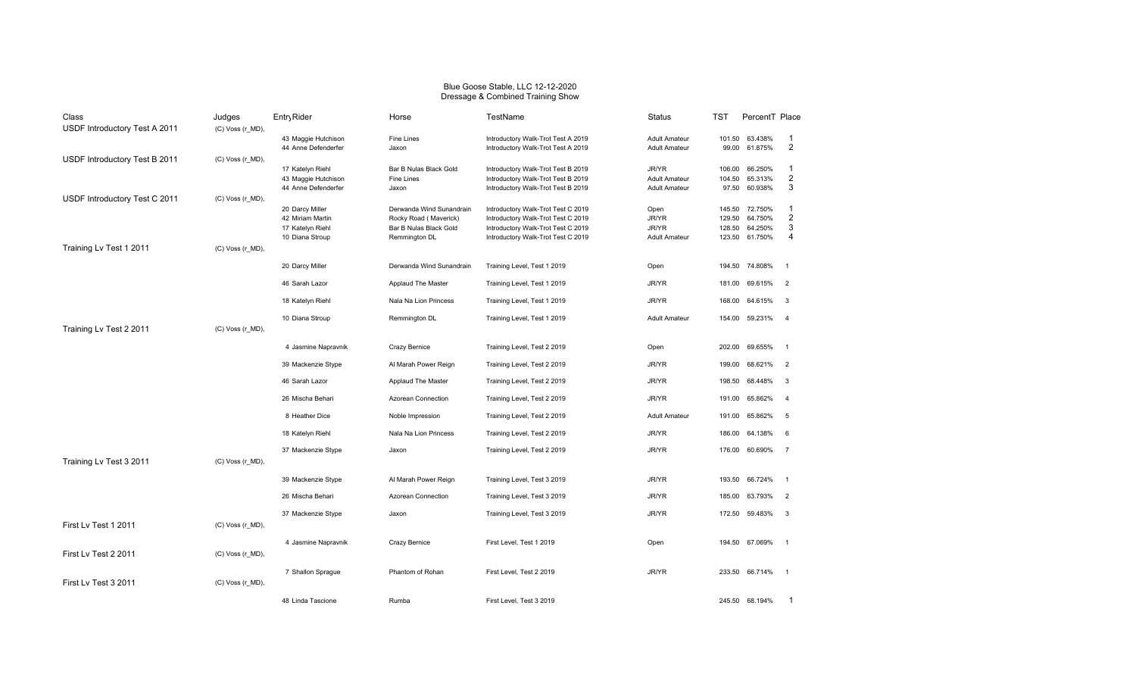## Blue Goose Stable, LLC 12-12-2020 Dressage & Combined Training Show

| Class                         | Judges                | Entry Rider                             | Horse                     | TestName                           | Status               | TST    | PercentT Place |                         |
|-------------------------------|-----------------------|-----------------------------------------|---------------------------|------------------------------------|----------------------|--------|----------------|-------------------------|
| USDF Introductory Test A 2011 | (C) Voss (r_MD),      |                                         |                           |                                    |                      |        |                |                         |
|                               |                       | 43 Maggie Hutchison                     | Fine Lines                | Introductory Walk-Trot Test A 2019 | <b>Adult Amateur</b> | 101.50 | 63.438%        | 1                       |
|                               |                       | 44 Anne Defenderfer                     | Jaxon                     | Introductory Walk-Trot Test A 2019 | <b>Adult Amateur</b> | 99.00  | 61.875%        | $\overline{2}$          |
| USDF Introductory Test B 2011 | (C) Voss (r_MD),      |                                         | Bar B Nulas Black Gold    | Introductory Walk-Trot Test B 2019 | JR/YR                | 106.00 | 66.250%        | $\mathbf{1}$            |
|                               |                       | 17 Katelyn Riehl<br>43 Maggie Hutchison | Fine Lines                | Introductory Walk-Trot Test B 2019 | <b>Adult Amateur</b> | 104.50 | 65.313%        | $\overline{2}$          |
|                               |                       | 44 Anne Defenderfer                     | Jaxon                     | Introductory Walk-Trot Test B 2019 | <b>Adult Amateur</b> | 97.50  | 60.938%        | 3                       |
| USDF Introductory Test C 2011 | (C) Voss (r_MD),      |                                         |                           |                                    |                      |        |                |                         |
|                               |                       | 20 Darcy Miller                         | Derwanda Wind Sunandrain  | Introductory Walk-Trot Test C 2019 | Open                 | 145.50 | 72.750%        | $\mathbf 1$             |
|                               |                       | 42 Miriam Martin                        | Rocky Road (Maverick)     | Introductory Walk-Trot Test C 2019 | JR/YR                | 129.50 | 64.750%        | $\overline{\mathbf{c}}$ |
|                               |                       | 17 Katelyn Riehl                        | Bar B Nulas Black Gold    | Introductory Walk-Trot Test C 2019 | JR/YR                | 128.50 | 64.250%        | 3                       |
|                               |                       | 10 Diana Stroup                         | Remmington DL             | Introductory Walk-Trot Test C 2019 | <b>Adult Amateur</b> | 123.50 | 61.750%        | 4                       |
| Training Lv Test 1 2011       | (C) Voss (r_MD),      |                                         |                           |                                    |                      |        |                |                         |
|                               |                       | 20 Darcy Miller                         | Derwanda Wind Sunandrain  | Training Level, Test 1 2019        | Open                 |        | 194.50 74.808% | $\overline{1}$          |
|                               |                       | 46 Sarah Lazor                          | Applaud The Master        | Training Level, Test 1 2019        | JR/YR                | 181.00 | 69.615%        | $\overline{2}$          |
|                               |                       | 18 Katelyn Riehl                        | Nala Na Lion Princess     | Training Level, Test 1 2019        | JR/YR                | 168.00 | 64.615%        | $\overline{\mathbf{3}}$ |
|                               |                       | 10 Diana Stroup                         | Remmington DL             | Training Level, Test 1 2019        | <b>Adult Amateur</b> | 154.00 | 59.231%        | $\overline{4}$          |
| Training Lv Test 2 2011       | (C) Voss (r_MD),      |                                         |                           |                                    |                      |        |                |                         |
|                               |                       |                                         |                           |                                    |                      |        |                |                         |
|                               |                       | 4 Jasmine Napravnik                     | Crazy Bernice             | Training Level, Test 2 2019        | Open                 | 202.00 | 69.655%        | $\overline{1}$          |
|                               |                       | 39 Mackenzie Stype                      | Al Marah Power Reign      | Training Level, Test 2 2019        | JR/YR                | 199.00 | 68.621%        | $\overline{2}$          |
|                               |                       | 46 Sarah Lazor                          | Applaud The Master        | Training Level, Test 2 2019        | JR/YR                | 198.50 | 68.448%        | 3                       |
|                               |                       | 26 Mischa Behari                        | Azorean Connection        | Training Level, Test 2 2019        | JR/YR                | 191.00 | 65.862%        | $\overline{4}$          |
|                               |                       | 8 Heather Dice                          | Noble Impression          | Training Level, Test 2 2019        | <b>Adult Amateur</b> | 191.00 | 65.862%        | 5                       |
|                               |                       | 18 Katelyn Riehl                        | Nala Na Lion Princess     | Training Level, Test 2 2019        | JR/YR                | 186.00 | 64.138%        | 6                       |
|                               |                       | 37 Mackenzie Stype                      | Jaxon                     | Training Level, Test 2 2019        | JR/YR                | 176.00 | 60.690%        | $\overline{7}$          |
| Training Lv Test 3 2011       | $(C)$ Voss $(r_MD)$ , |                                         |                           |                                    |                      |        |                |                         |
|                               |                       | 39 Mackenzie Stype                      | Al Marah Power Reign      | Training Level, Test 3 2019        | JR/YR                | 193.50 | 66.724%        | $\overline{1}$          |
|                               |                       | 26 Mischa Behari                        | <b>Azorean Connection</b> | Training Level, Test 3 2019        | JR/YR                | 185.00 | 63.793%        | $\overline{2}$          |
|                               |                       | 37 Mackenzie Stype                      | Jaxon                     | Training Level, Test 3 2019        | JR/YR                | 172.50 | 59.483%        | $\mathbf{3}$            |
| First Lv Test 1 2011          | (C) Voss (r_MD),      |                                         |                           |                                    |                      |        |                |                         |
|                               |                       |                                         |                           |                                    |                      |        |                |                         |
|                               |                       | 4 Jasmine Napravnik                     | Crazy Bernice             | First Level, Test 1 2019           | Open                 |        | 194.50 67.069% | $\overline{1}$          |
| First Lv Test 2 2011          | $(C)$ Voss $(r_MD)$ , |                                         |                           |                                    |                      |        |                |                         |
|                               |                       |                                         | Phantom of Rohan          | First Level, Test 2 2019           | JR/YR                | 233.50 | 66.714%        | $\overline{1}$          |
| First Lv Test 3 2011          | (C) Voss (r_MD),      | 7 Shallon Sprague                       |                           |                                    |                      |        |                |                         |
|                               |                       |                                         |                           |                                    |                      |        |                |                         |
|                               |                       | 48 Linda Tascione                       | Rumba                     | First Level, Test 3 2019           |                      |        | 245.50 68.194% |                         |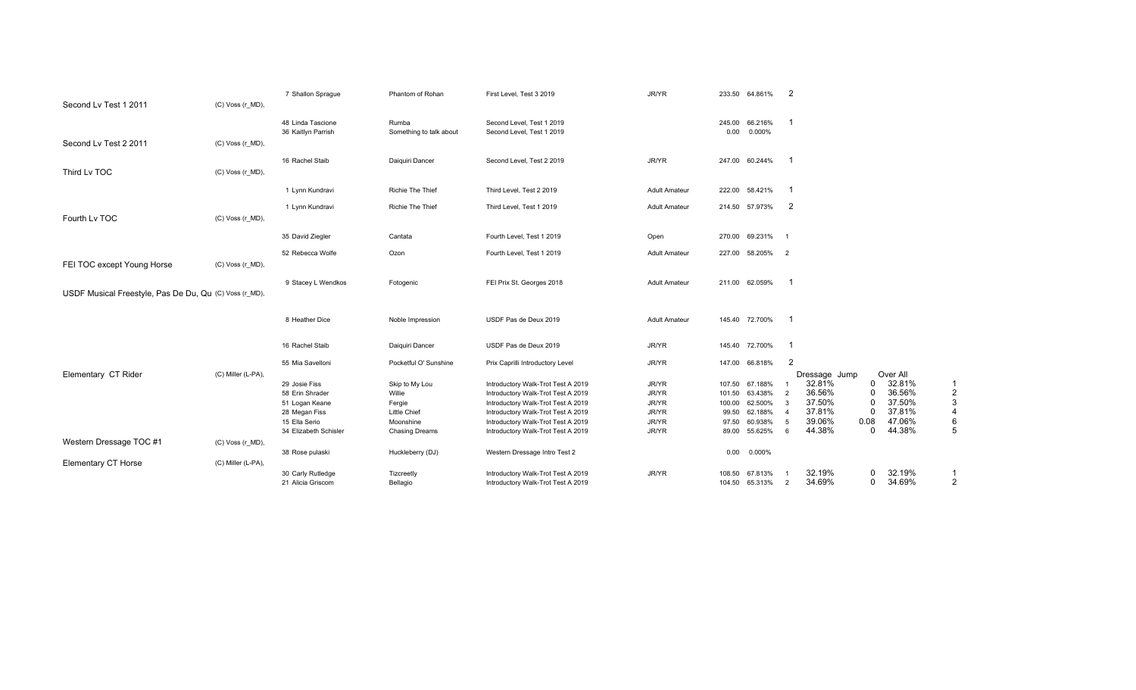| Second Lv Test 1 2011                                  | (C) Voss (r_MD),   | 7 Shallon Sprague     | Phantom of Rohan        | First Level, Test 3 2019           | JR/YR                | 233.50 64.861%    | $\overline{2}$           |          |          |                |
|--------------------------------------------------------|--------------------|-----------------------|-------------------------|------------------------------------|----------------------|-------------------|--------------------------|----------|----------|----------------|
|                                                        |                    | 48 Linda Tascione     | Rumba                   | Second Level, Test 1 2019          |                      | 245.00<br>66.216% | -1                       |          |          |                |
|                                                        |                    | 36 Kaitlyn Parrish    | Something to talk about | Second Level, Test 1 2019          |                      | 0.000%<br>0.00    |                          |          |          |                |
| Second Lv Test 2 2011                                  | (C) Voss (r_MD),   |                       |                         |                                    |                      |                   |                          |          |          |                |
|                                                        |                    | 16 Rachel Staib       | Daiquiri Dancer         | Second Level, Test 2 2019          | JR/YR                | 247.00 60.244%    | -1                       |          |          |                |
| Third Lv TOC                                           | (C) Voss (r_MD),   |                       |                         |                                    |                      |                   |                          |          |          |                |
|                                                        |                    | 1 Lynn Kundravi       | <b>Richie The Thief</b> | Third Level, Test 2 2019           | <b>Adult Amateur</b> | 58.421%<br>222.00 | - 1                      |          |          |                |
|                                                        |                    | 1 Lynn Kundravi       | Richie The Thief        | Third Level, Test 1 2019           | Adult Amateur        | 214.50 57.973%    | -2                       |          |          |                |
| Fourth Lv TOC                                          | (C) Voss (r_MD),   |                       |                         |                                    |                      |                   |                          |          |          |                |
|                                                        |                    | 35 David Ziegler      | Cantata                 | Fourth Level, Test 1 2019          | Open                 | 69.231%<br>270.00 | - 1                      |          |          |                |
|                                                        |                    | 52 Rebecca Wolfe      | Ozon                    | Fourth Level, Test 1 2019          | <b>Adult Amateur</b> | 227.00 58.205%    | $\overline{2}$           |          |          |                |
| FEI TOC except Young Horse                             | (C) Voss (r MD),   |                       |                         |                                    |                      |                   |                          |          |          |                |
|                                                        |                    | 9 Stacey L Wendkos    | Fotogenic               | FEI Prix St. Georges 2018          | <b>Adult Amateur</b> | 211.00 62.059%    | $\overline{\phantom{0}}$ |          |          |                |
| USDF Musical Freestyle, Pas De Du, Qu (C) Voss (r_MD), |                    |                       |                         |                                    |                      |                   |                          |          |          |                |
|                                                        |                    |                       |                         |                                    | <b>Adult Amateur</b> | 145.40 72.700%    | - 1                      |          |          |                |
|                                                        |                    | 8 Heather Dice        | Noble Impression        | USDF Pas de Deux 2019              |                      |                   |                          |          |          |                |
|                                                        |                    | 16 Rachel Staib       | Daiguiri Dancer         | USDF Pas de Deux 2019              | JR/YR                | 145.40 72.700%    | -1                       |          |          |                |
|                                                        |                    | 55 Mia Savelloni      | Pocketful O' Sunshine   | Prix Caprilli Introductory Level   | JR/YR                | 147.00<br>66.818% | $\overline{2}$           |          |          |                |
| Elementary CT Rider                                    | (C) Miller (L-PA), |                       |                         |                                    |                      |                   | Dressage Jump            |          | Over All |                |
|                                                        |                    | 29 Josie Fiss         | Skip to My Lou          | Introductory Walk-Trot Test A 2019 | JR/YR                | 107.50<br>67.188% | 32.81%                   | 0        | 32.81%   | -1             |
|                                                        |                    | 58 Erin Shrader       | Willie                  | Introductory Walk-Trot Test A 2019 | JR/YR                | 101.50<br>63.438% | 36.56%<br>$\overline{2}$ | $\Omega$ | 36.56%   | $\overline{2}$ |
|                                                        |                    | 51 Logan Keane        | Fergie                  | Introductory Walk-Trot Test A 2019 | JR/YR                | 62.500%<br>100.00 | 37.50%<br>3              | 0        | 37.50%   | 3              |
|                                                        |                    | 28 Megan Fiss         | Little Chief            | Introductory Walk-Trot Test A 2019 | JR/YR                | 62.188%<br>99.50  | 37.81%<br>$\overline{4}$ | n        | 37.81%   | $\overline{4}$ |
|                                                        |                    | 15 Ella Serio         | Moonshine               | Introductory Walk-Trot Test A 2019 | JR/YR                | 60.938%<br>97.50  | 39.06%<br>5              | 0.08     | 47.06%   | 6              |
|                                                        |                    | 34 Elizabeth Schisler | <b>Chasing Dreams</b>   | Introductory Walk-Trot Test A 2019 | JR/YR                | 55.625%<br>89.00  | 44.38%<br>6              | 0        | 44.38%   | 5              |
| Western Dressage TOC #1                                | (C) Voss (r_MD),   |                       |                         |                                    |                      |                   |                          |          |          |                |
|                                                        |                    | 38 Rose pulaski       | Huckleberry (DJ)        | Western Dressage Intro Test 2      |                      | 0.000%<br>0.00    |                          |          |          |                |
| <b>Elementary CT Horse</b>                             | (C) Miller (L-PA), |                       |                         |                                    |                      |                   |                          |          |          |                |
|                                                        |                    | 30 Carly Rutledge     | Tizcreetly              | Introductory Walk-Trot Test A 2019 | JR/YR                | 108.50<br>67.813% | 32.19%                   | 0        | 32.19%   | -1             |
|                                                        |                    | 21 Alicia Griscom     | Bellagio                | Introductory Walk-Trot Test A 2019 |                      | 104.50 65.313%    | 34.69%<br>2              | 0        | 34.69%   | $\overline{2}$ |